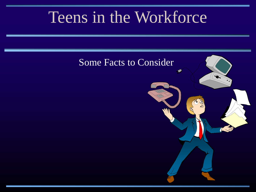# Teens in the Workforce

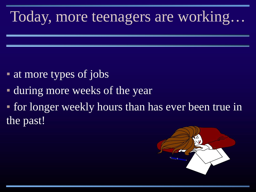# Today, more teenagers are working…

- **at more types of jobs**
- during more weeks of the year
- for longer weekly hours than has ever been true in the past!

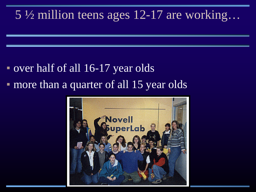#### 5 ½ million teens ages 12-17 are working…

### ▪ over half of all 16-17 year olds • more than a quarter of all 15 year olds

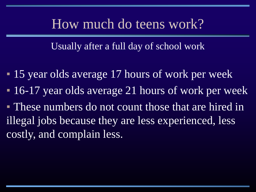#### How much do teens work?

Usually after a full day of school work

- 15 year olds average 17 hours of work per week
- **16-17 year olds average 21 hours of work per week**
- These numbers do not count those that are hired in illegal jobs because they are less experienced, less costly, and complain less.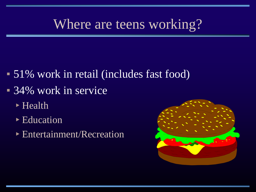### Where are teens working?

- 51% work in retail (includes fast food)
- 34% work in service
	- ▸Health
	- **Education**
	- ▸Entertainment/Recreation

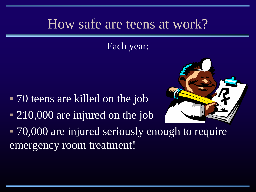#### How safe are teens at work?

#### Each year:

- 70 teens are killed on the job
- 210,000 are injured on the job



• 70,000 are injured seriously enough to require emergency room treatment!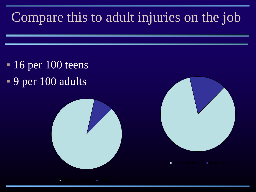# Compare this to adult injuries on the job

 $\blacksquare$  16 per 100 teens ▪ 9 per 100 adults





г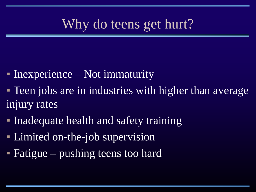## Why do teens get hurt?

- $\blacksquare$  Inexperience Not immaturity
- **Teen jobs are in industries with higher than average** injury rates
- **Inadequate health and safety training**
- **Example 1 Limited on-the-job supervision**
- **Fatigue** pushing teens too hard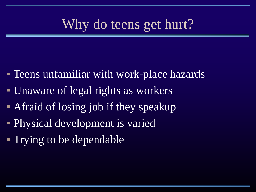### Why do teens get hurt?

- **Teens unfamiliar with work-place hazards**
- Unaware of legal rights as workers
- **Afraid of losing job if they speakup**
- Physical development is varied
- Trying to be dependable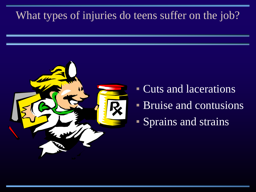#### What types of injuries do teens suffer on the job?



- Cuts and lacerations
- **Bruise and contusions**
- Sprains and strains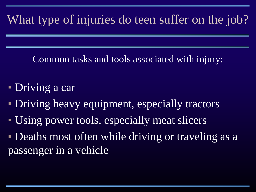#### What type of injuries do teen suffer on the job?

Common tasks and tools associated with injury:

- **Driving a car**
- Driving heavy equipment, especially tractors
- Using power tools, especially meat slicers
- **Deaths most often while driving or traveling as a** passenger in a vehicle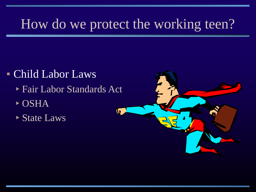### How do we protect the working teen?

- Child Labor Laws
	- ▸Fair Labor Standards Act
	- ▸OSHA
	- ▸State Laws

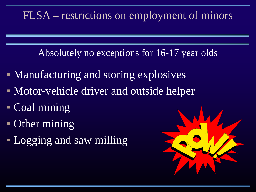Absolutely no exceptions for 16-17 year olds

- **Manufacturing and storing explosives**
- Motor-vehicle driver and outside helper
- Coal mining
- **Other mining**
- Logging and saw milling

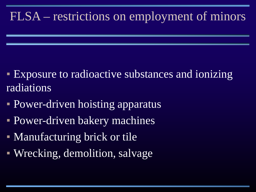- **Exposure to radioactive substances and ionizing** radiations
- **Power-driven hoisting apparatus**
- **Power-driven bakery machines**
- Manufacturing brick or tile
- Wrecking, demolition, salvage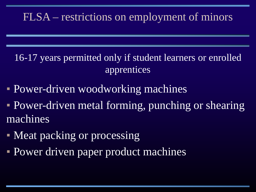16-17 years permitted only if student learners or enrolled apprentices

- Power-driven woodworking machines
- **Power-driven metal forming, punching or shearing** machines
- Meat packing or processing
- **Power driven paper product machines**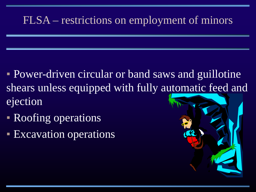- **Power-driven circular or band saws and guillotine** shears unless equipped with fully automatic feed and ejection
- Roofing operations
- **Excavation operations**

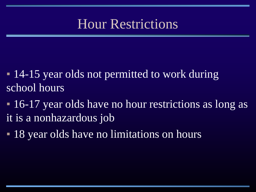### Hour Restrictions

- 14-15 year olds not permitted to work during school hours
- 16-17 year olds have no hour restrictions as long as it is a nonhazardous job
- 18 year olds have no limitations on hours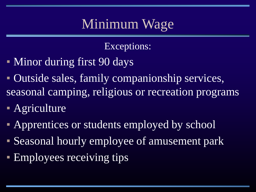# Minimum Wage

Exceptions:

- Minor during first 90 days
- Outside sales, family companionship services, seasonal camping, religious or recreation programs
- **Agriculture**
- **Apprentices or students employed by school**
- Seasonal hourly employee of amusement park
- **Employees receiving tips**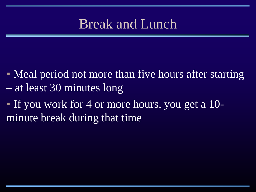## Break and Lunch

- Meal period not more than five hours after starting – at least 30 minutes long
- If you work for 4 or more hours, you get a 10 minute break during that time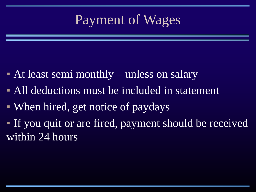## Payment of Wages

- At least semi monthly unless on salary
- **All deductions must be included in statement**
- When hired, get notice of paydays
- If you quit or are fired, payment should be received within 24 hours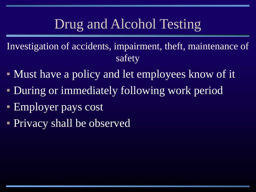## Drug and Alcohol Testing

Investigation of accidents, impairment, theft, maintenance of safety

- Must have a policy and let employees know of it
- **During or immediately following work period**
- **Employer pays cost**
- **Privacy shall be observed**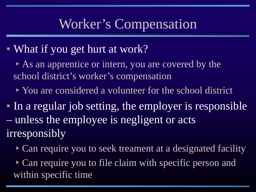#### Worker's Compensation

• What if you get hurt at work?

▸As an apprentice or intern, you are covered by the school district's worker's compensation

• You are considered a volunteer for the school district

▪ In a regular job setting, the employer is responsible – unless the employee is negligent or acts irresponsibly

• Can require you to seek treament at a designated facility

▸Can require you to file claim with specific person and within specific time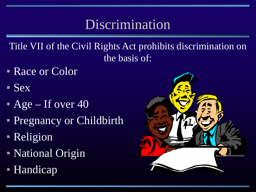## **Discrimination**

Title VII of the Civil Rights Act prohibits discrimination on the basis of:

- **Race or Color**
- Sex
- $\overline{P}$  Age If over 40
- **Pregnancy or Childbirth**
- Religion
- National Origin
- Handicap

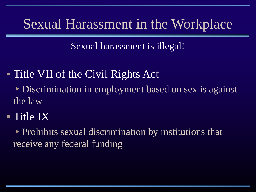#### Sexual Harassment in the Workplace

Sexual harassment is illegal!

▪ Title VII of the Civil Rights Act

▸Discrimination in employment based on sex is against the law

**E** Title IX

▸Prohibits sexual discrimination by institutions that receive any federal funding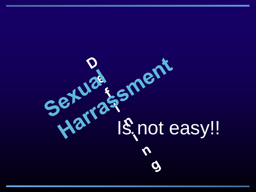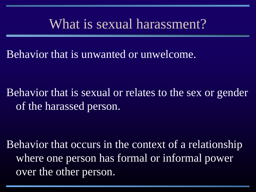#### What is sexual harassment?

Behavior that is unwanted or unwelcome.

Behavior that is sexual or relates to the sex or gender of the harassed person.

Behavior that occurs in the context of a relationship where one person has formal or informal power over the other person.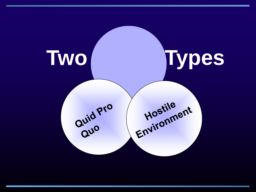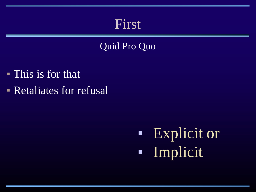#### First

#### Quid Pro Quo

- This is for that
- **Retaliates for refusal**

**Explicit or** ▪ Implicit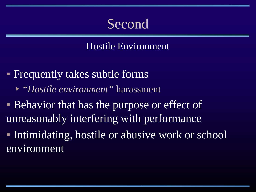### Second

Hostile Environment

**• Frequently takes subtle forms** ▸*"Hostile environment"* harassment

**• Behavior that has the purpose or effect of** unreasonably interfering with performance

**• Intimidating, hostile or abusive work or school** environment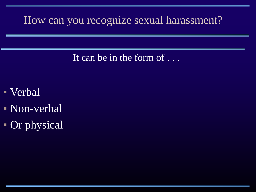#### How can you recognize sexual harassment?

It can be in the form of ...

- Verbal
- Non-verbal
- **Or physical**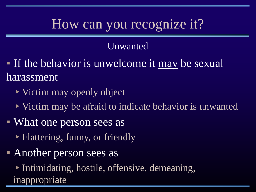## How can you recognize it?

#### Unwanted

**If the behavior is unwelcome it may be sexual** harassment

- ▸Victim may openly object
- ▸Victim may be afraid to indicate behavior is unwanted
- What one person sees as
	- ▸Flattering, funny, or friendly
- **Another person sees as**

▸Intimidating, hostile, offensive, demeaning, inappropriate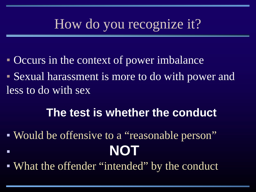## How do you recognize it?

- **Occurs in the context of power imbalance**
- Sexual harassment is more to do with power and less to do with sex

#### **The test is whether the conduct**

- Would be offensive to a "reasonable person" ▪ **NOT**
- What the offender "intended" by the conduct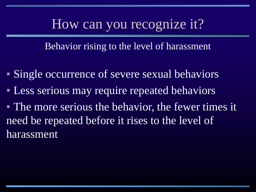#### How can you recognize it?

Behavior rising to the level of harassment

- Single occurrence of severe sexual behaviors
- **Less serious may require repeated behaviors**
- The more serious the behavior, the fewer times it need be repeated before it rises to the level of harassment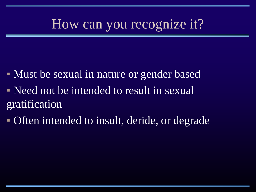## How can you recognize it?

- Must be sexual in nature or gender based
- Need not be intended to result in sexual gratification
- Often intended to insult, deride, or degrade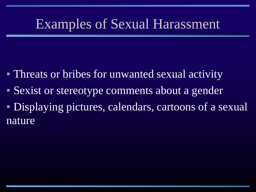## Examples of Sexual Harassment

- Threats or bribes for unwanted sexual activity
- Sexist or stereotype comments about a gender
- **Displaying pictures, calendars, cartoons of a sexual** nature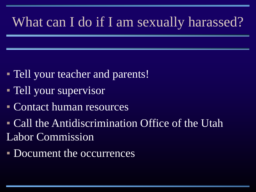# What can I do if I am sexually harassed?

- **Tell your teacher and parents!**
- **Tell your supervisor**
- Contact human resources
- **Call the Antidiscrimination Office of the Utah** Labor Commission
- Document the occurrences